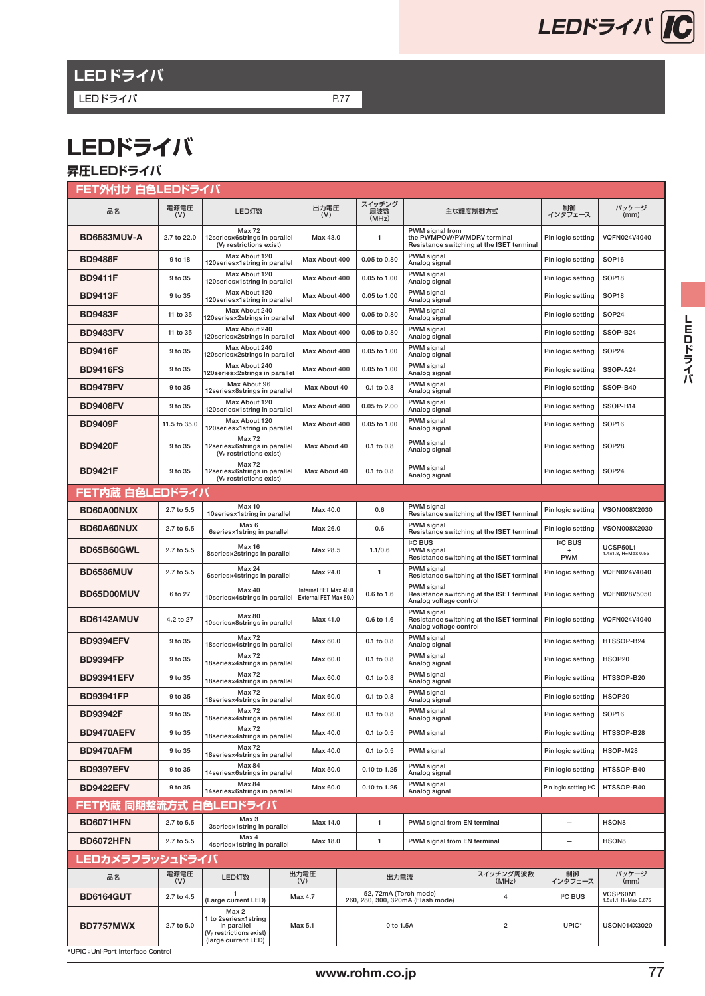

# **LEDドライバ**

LEDドライバ P.77

# **LEDドライバ**

## **昇圧LEDドライバ**

| FET外付け 白色LEDドライバ                  |              |                                                                                                  |                                                |                        |                                                            |                                           |                                         |                                           |  |  |  |  |
|-----------------------------------|--------------|--------------------------------------------------------------------------------------------------|------------------------------------------------|------------------------|------------------------------------------------------------|-------------------------------------------|-----------------------------------------|-------------------------------------------|--|--|--|--|
| 品名                                | 電源電圧<br>(V)  | LED灯数                                                                                            | 出力電圧<br>(V)                                    | スイッチング<br>周波数<br>(MHz) |                                                            | 主な輝度制御方式                                  | 制御<br>インタフェース                           | パッケージ<br>(mm)                             |  |  |  |  |
| BD6583MUV-A                       | 2.7 to 22.0  | <b>Max 72</b><br>12series×6strings in parallel<br>(V <sub>F</sub> restrictions exist)            | Max 43.0                                       | 1                      | PWM signal from<br>the PWMPOW/PWMDRV terminal              | Resistance switching at the ISET terminal | Pin logic setting                       | VQFN024V4040                              |  |  |  |  |
| <b>BD9486F</b>                    | 9 to 18      | Max About 120<br>120series×1string in parallel                                                   | Max About 400                                  | 0.05 to 0.80           | PWM signal<br>Analog signal                                |                                           | Pin logic setting                       | SOP <sub>16</sub>                         |  |  |  |  |
| <b>BD9411F</b>                    | 9 to 35      | Max About 120<br>120series×1string in parallel                                                   | Max About 400                                  | 0.05 to 1.00           | PWM signal<br>Analog signal                                | Pin logic setting                         |                                         | SOP <sub>18</sub>                         |  |  |  |  |
| BD9413F                           | 9 to 35      | Max About 120<br>120series×1string in parallel                                                   | Max About 400                                  | 0.05 to 1.00           | PWM signal<br>Analog signal                                |                                           | Pin logic setting                       | SOP <sub>18</sub>                         |  |  |  |  |
| <b>BD9483F</b>                    | 11 to 35     | Max About 240<br>120series×2strings in parallel                                                  | Max About 400                                  | 0.05 to 0.80           | PWM signal<br>Analog signal                                |                                           | Pin logic setting                       | <b>SOP24</b>                              |  |  |  |  |
| <b>BD9483FV</b>                   | 11 to 35     | Max About 240<br>120series×2strings in parallel                                                  | Max About 400                                  | 0.05 to 0.80           | PWM signal<br>Analog signal                                |                                           | Pin logic setting                       | SSOP-B24                                  |  |  |  |  |
| BD9416F                           | 9 to 35      | Max About 240<br>120series×2strings in parallel                                                  | Max About 400                                  | 0.05 to 1.00           | PWM signal<br>Analog signal                                |                                           | Pin logic setting                       | <b>SOP24</b>                              |  |  |  |  |
| <b>BD9416FS</b>                   | 9 to 35      | Max About 240<br>120series×2strings in parallel                                                  | Max About 400                                  | 0.05 to 1.00           | PWM signal<br>Analog signal                                |                                           | Pin logic setting                       | SSOP-A24                                  |  |  |  |  |
| <b>BD9479FV</b>                   | 9 to 35      | Max About 96<br>12series×8strings in parallel                                                    | Max About 40                                   | 0.1 to 0.8             | PWM signal<br>Analog signal                                |                                           | Pin logic setting                       | SSOP-B40                                  |  |  |  |  |
| <b>BD9408FV</b>                   | 9 to 35      | Max About 120<br>120series×1string in parallel                                                   | Max About 400                                  | 0.05 to 2.00           | PWM signal<br>Analog signal                                |                                           | Pin logic setting                       | SSOP-B14                                  |  |  |  |  |
| <b>BD9409F</b>                    | 11.5 to 35.0 | Max About 120<br>120series×1string in parallel                                                   | Max About 400                                  | 0.05 to 1.00           | PWM signal<br>Analog signal                                |                                           | Pin logic setting                       | SOP <sub>16</sub>                         |  |  |  |  |
| <b>BD9420F</b>                    | 9 to 35      | <b>Max 72</b><br>12series×6strings in parallel<br>(V <sub>F</sub> restrictions exist)            | Max About 40                                   | 0.1 to 0.8             | PWM signal<br>Analog signal                                |                                           | Pin logic setting                       | SOP28                                     |  |  |  |  |
| BD9421F                           | 9 to 35      | <b>Max 72</b><br>12series×6strings in parallel<br>$(V_F$ restrictions exist)                     | Max About 40                                   | 0.1 to 0.8             | PWM signal<br>Analog signal                                |                                           | Pin logic setting                       | SOP24                                     |  |  |  |  |
| FET内蔵 白色LEDドライバ                   |              |                                                                                                  |                                                |                        |                                                            |                                           |                                         |                                           |  |  |  |  |
| BD60A00NUX                        | 2.7 to 5.5   | <b>Max 10</b><br>10series×1string in parallel                                                    | Max 40.0                                       | 0.6                    | <b>PWM</b> signal                                          | Resistance switching at the ISET terminal | Pin logic setting                       | VSON008X2030                              |  |  |  |  |
| <b>BD60A60NUX</b>                 | 2.7 to 5.5   | Max 6<br>6series×1string in parallel                                                             | Max 26.0                                       | 0.6                    | PWM signal                                                 | Resistance switching at the ISET terminal | Pin logic setting                       | VSON008X2030                              |  |  |  |  |
| <b>BD65B60GWL</b>                 | 2.7 to 5.5   | <b>Max 16</b><br>8series×2strings in parallel                                                    | Max 28.5                                       | 1.1/0.6                | <b>I<sub>2</sub>C BUS</b><br>PWM signal                    | Resistance switching at the ISET terminal | <b>I<sub>2</sub>C</b> BUS<br><b>PWM</b> | UCSP50L1<br>$1.4 \times 1.8$ , H=Max 0.55 |  |  |  |  |
| <b>BD6586MUV</b>                  | 2.7 to 5.5   | <b>Max 24</b><br>6series×4strings in parallel                                                    | Max 24.0                                       | 1                      | PWM signal                                                 | Resistance switching at the ISET terminal | Pin logic setting                       | VQFN024V4040                              |  |  |  |  |
| <b>BD65D00MUV</b>                 | 6 to 27      | <b>Max 40</b><br>10series×4strings in parallel                                                   | Internal FET Max 40.0<br>External FET Max 80.0 | 0.6 to 1.6             | PWM signal<br>Analog voltage control                       | Resistance switching at the ISET terminal | Pin logic setting                       | VQFN028V5050                              |  |  |  |  |
| <b>BD6142AMUV</b>                 | 4.2 to 27    | <b>Max 80</b><br>10series×8strings in parallel                                                   | Max 41.0                                       | 0.6 to 1.6             | PWM signal<br>Analog voltage control                       | Resistance switching at the ISET terminal | Pin logic setting                       | VQFN024V4040                              |  |  |  |  |
| <b>BD9394EFV</b>                  | 9 to 35      | <b>Max 72</b><br>18series×4strings in parallel                                                   | Max 60.0                                       | 0.1 to 0.8             | PWM signal<br>Analog signal                                |                                           | Pin logic setting                       | HTSSOP-B24                                |  |  |  |  |
| <b>BD9394FP</b>                   | 9 to 35      | <b>Max 72</b><br>18series×4strings in parallel                                                   | Max 60.0                                       | 0.1 to 0.8             | PWM signal<br>Analog signal                                |                                           | Pin logic setting                       | HSOP20                                    |  |  |  |  |
| <b>BD93941EFV</b>                 | 9 to 35      | <b>Max 72</b><br>18series×4strings in parallel                                                   | Max 60.0                                       | 0.1 to 0.8             | PWM signal<br>Analog signal                                |                                           | Pin logic setting                       | HTSSOP-B20                                |  |  |  |  |
| <b>BD93941FP</b>                  | 9 to 35      | <b>Max 72</b><br>18series×4strings in parallel                                                   | Max 60.0                                       | 0.1 to 0.8             | Analog signal                                              | PWM signal                                |                                         | HSOP20                                    |  |  |  |  |
| <b>BD93942F</b>                   | 9 to 35      | <b>Max 72</b><br>18 series×4 strings in parallel                                                 | Max 60.0                                       | $0.1$ to $0.8$         | <b>PWM</b> signal<br>Analog signal                         |                                           | Pin logic setting                       | SOP <sub>16</sub>                         |  |  |  |  |
| BD9470AEFV                        | 9 to 35      | <b>Max 72</b><br>18series×4strings in parallel                                                   | Max 40.0                                       | 0.1 to 0.5             | PWM signal                                                 |                                           | Pin logic setting                       | HTSSOP-B28                                |  |  |  |  |
| BD9470AFM                         | 9 to 35      | <b>Max 72</b><br>18series×4strings in parallel                                                   | Max 40.0                                       | 0.1 to 0.5             | PWM signal                                                 |                                           | Pin logic setting                       | HSOP-M28                                  |  |  |  |  |
| <b>BD9397EFV</b>                  | 9 to 35      | Max 84<br>14series×6strings in parallel                                                          | Max 50.0                                       | 0.10 to 1.25           | PWM signal<br>Analog signal                                |                                           | Pin logic setting                       | HTSSOP-B40                                |  |  |  |  |
| <b>BD9422EFV</b>                  | 9 to 35      | <b>Max 84</b><br>14series×6strings in parallel                                                   | Max 60.0                                       | 0.10 to 1.25           | PWM signal<br>Analog signal                                |                                           | Pin logic setting I <sup>2</sup> C      | HTSSOP-B40                                |  |  |  |  |
| FET内蔵 同期整流方式 白色LEDドライバ            |              |                                                                                                  |                                                |                        |                                                            |                                           |                                         |                                           |  |  |  |  |
| BD6071HFN                         | 2.7 to 5.5   | Max 3<br>3series×1string in parallel                                                             | Max 14.0                                       | $\mathbf{1}$           | PWM signal from EN terminal                                |                                           | -                                       | HSON8                                     |  |  |  |  |
| BD6072HFN                         | 2.7 to 5.5   | Max 4<br>4series×1string in parallel                                                             | Max 18.0                                       | $\mathbf{1}$           | PWM signal from EN terminal                                |                                           | $\overline{\phantom{0}}$                | HSON8                                     |  |  |  |  |
| <b>LEDカメラフラッシュドライバ</b>            |              |                                                                                                  |                                                |                        |                                                            |                                           |                                         |                                           |  |  |  |  |
| 品名                                | 電源電圧<br>(V)  | LED灯数                                                                                            | 出力電圧<br>(V)                                    |                        | 出力電流                                                       | スイッチング周波数<br>(MHz)                        | 制御<br>インタフェース                           | パッケージ<br>(mm)                             |  |  |  |  |
| <b>BD6164GUT</b>                  | 2.7 to 4.5   | -1<br>(Large current LED)                                                                        | Max 4.7                                        |                        | 52, 72mA (Torch mode)<br>260, 280, 300, 320mA (Flash mode) | 4                                         | I <sup>2</sup> C BUS                    | VCSP60N1<br>1.5×1.1, H=Max 0.675          |  |  |  |  |
| <b>BD7757MWX</b>                  | 2.7 to 5.0   | Max 2<br>1 to 2series×1string<br>in parallel<br>$(VF$ restrictions exist)<br>(large current LED) | Max 5.1                                        |                        | 0 to 1.5A                                                  | $\overline{2}$                            | UPIC*                                   | USON014X3020                              |  |  |  |  |
| *UPIC: Uni-Port Interface Control |              |                                                                                                  |                                                |                        |                                                            |                                           |                                         |                                           |  |  |  |  |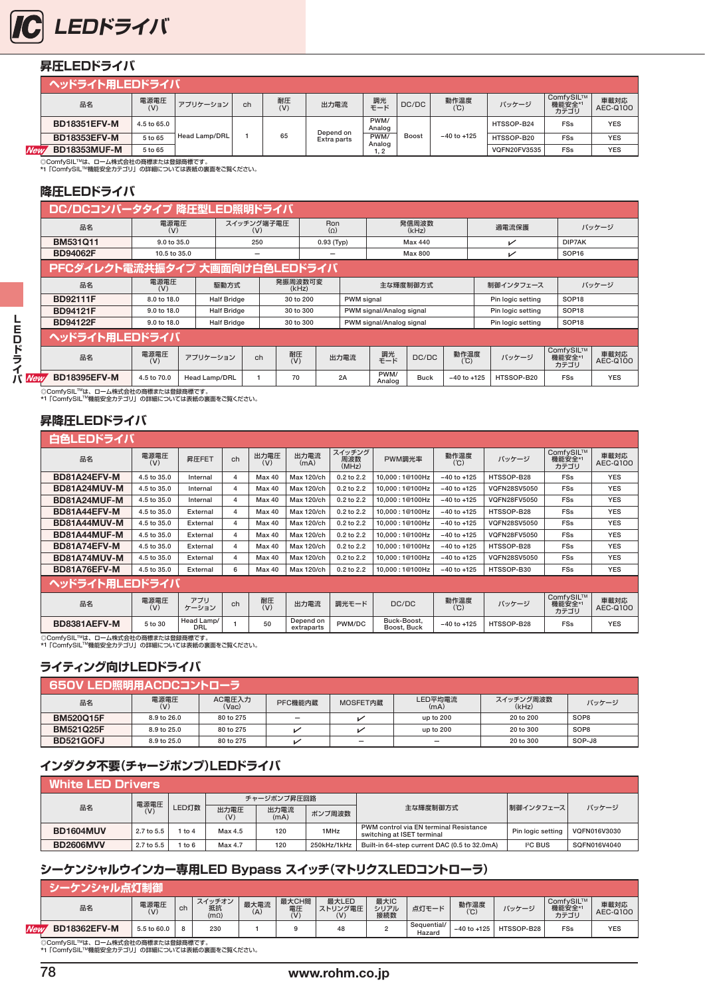

#### **昇圧LEDドライバ**

|            | ヘッドライト用LEDドライバ      |             |               |    |           |             |                |              |                 |              |                             |                  |
|------------|---------------------|-------------|---------------|----|-----------|-------------|----------------|--------------|-----------------|--------------|-----------------------------|------------------|
|            | 品名                  | 電源電圧<br>(V) | アプリケーション      | ch | 耐圧<br>(V) | 出力電流        | 調光<br>モード      | DC/DC        | 動作温度            | バッケージ        | ComfySIL™<br>機能安全*1<br>カテゴリ | 車載対応<br>AEC-Q100 |
|            | <b>BD18351EFV-M</b> | 4.5 to 65.0 |               |    |           | Depend on   | PWM/<br>Analog |              |                 | HTSSOP-B24   | FSs                         | <b>YES</b>       |
|            | <b>BD18353EFV-M</b> | 5 to 65     | Head Lamp/DRL |    | 65        | Extra parts | PWM/<br>Analog | <b>Boost</b> | $-40$ to $+125$ | HTSSOP-B20   | FSs                         | <b>YES</b>       |
| <b>New</b> | <b>BD18353MUF-M</b> | 5 to 65     |               |    |           |             | 1, 2           |              |                 | VQFN20FV3535 | FSs                         | YES              |

◎ComfySIL™は、ローム株式会社の商標または登録商標です。<br>\*1 「ComfySIL™機能安全カテゴリ」の詳細については表紙の裏面をご覧ください。

#### **降圧LEDドライバ**

|        | DC/DCコンバータタイプ 降圧型LED照明ドライバ     |              |                      |                    |           |                  |                   |            |                          |                |                 |                   |                             |                  |
|--------|--------------------------------|--------------|----------------------|--------------------|-----------|------------------|-------------------|------------|--------------------------|----------------|-----------------|-------------------|-----------------------------|------------------|
|        | 品名                             | 電源電圧<br>(V)  |                      | スイッチング端子電圧<br>(V)  |           |                  | Ron<br>$(\Omega)$ |            |                          | 発信周波数<br>(kHz) |                 | 過電流保護             |                             | バッケージ            |
|        | BM531011                       | 9.0 to 35.0  |                      | 250                |           | $0.93$ (Typ)     |                   |            | Max 440                  |                |                 | ↙                 | DIP7AK                      |                  |
|        | <b>BD94062F</b>                | 10.5 to 35.0 |                      |                    | -         |                  | -                 |            | Max 800                  |                |                 | ↙                 | SOP <sub>16</sub>           |                  |
|        | PFCダイレクト電流共振タイプ 大画面向け白色LEDドライバ |              |                      |                    |           |                  |                   |            |                          |                |                 |                   |                             |                  |
|        | 品名                             | 電源電圧<br>(V)  |                      | 駆動方式               |           | 発振周波数可変<br>(kHz) |                   |            | 主な輝度制御方式                 |                |                 | 制御インタフェース         |                             | バッケージ            |
|        | <b>BD92111F</b>                | 8.0 to 18.0  |                      | <b>Half Bridge</b> | 30 to 200 |                  |                   | PWM signal |                          |                |                 | Pin logic setting | SOP <sub>18</sub>           |                  |
|        | <b>BD94121F</b>                | 9.0 to 18.0  |                      | <b>Half Bridge</b> |           | 30 to 300        |                   |            | PWM signal/Analog signal |                |                 | Pin logic setting | SOP <sub>18</sub>           |                  |
|        | <b>BD94122F</b>                | 9.0 to 18.0  |                      | <b>Half Bridge</b> |           |                  | 30 to 300         |            | PWM signal/Analog signal |                |                 | Pin logic setting | SOP <sub>18</sub>           |                  |
| E<br>D | ヘッドライト用LEDドライバ                 |              |                      |                    |           |                  |                   |            |                          |                |                 |                   |                             |                  |
| ラ      | 品名                             | 電源電圧<br>(V)  | アプリケーション             |                    | ch        | 耐圧<br>(V)        |                   | 出力電流       | 調光<br>モード                | DC/DC          | 動作温度<br>(C)     | バッケージ             | ComfySIL™<br>機能安全*1<br>カテゴリ | 車載対応<br>AEC-Q100 |
| JV New | <b>BD18395EFV-M</b>            | 4.5 to 70.0  | <b>Head Lamp/DRL</b> |                    |           | 70               |                   | 2A         | PWM/<br>Analog           | <b>Buck</b>    | $-40$ to $+125$ | HTSSOP-B20        | <b>FSs</b>                  | <b>YES</b>       |

◎ComfySIL™は、ローム株式会社の商標または登録商標です。<br>\*1「ComfySIL™機能安全カテゴリ」の詳細については表紙の裏面をご覧ください。

#### **昇降圧LEDドライバ**

|                | 白色LEDドライバ            |                          |                |             |                         |                        |                                   |                 |                     |                             |                  |  |  |  |  |
|----------------|----------------------|--------------------------|----------------|-------------|-------------------------|------------------------|-----------------------------------|-----------------|---------------------|-----------------------------|------------------|--|--|--|--|
| 品名             | 電源電圧<br>昇圧FET<br>(V) |                          | ch             | 出力電圧<br>(V) | 出力電流<br>(mA)            | スイッチング<br>周波数<br>(MHz) | PWM調光率                            | 動作温度<br>(C)     | パッケージ               | ComfySIL™<br>機能安全*1<br>カテゴリ | 車載対応<br>AEC-Q100 |  |  |  |  |
| BD81A24EFV-M   | 4.5 to 35.0          | Internal                 | 4              | Max 40      | Max 120/ch              | 0.2 to 2.2             | 10.000:1@100Hz                    | $-40$ to $+125$ | HTSSOP-B28          | <b>FSs</b>                  | <b>YES</b>       |  |  |  |  |
| BD81A24MUV-M   | 4.5 to 35.0          | Internal                 | 4              | Max 40      | Max 120/ch              | $0.2$ to $2.2$         | 10.000:1@100Hz                    | $-40$ to $+125$ | <b>VQFN28SV5050</b> | <b>FSs</b>                  | <b>YES</b>       |  |  |  |  |
| BD81A24MUF-M   | 4.5 to 35.0          | Internal                 | $\overline{a}$ | Max 40      | Max 120/ch              | 0.2 to 2.2             | 10.000:1@100Hz                    | $-40$ to $+125$ | <b>VQFN28FV5050</b> | <b>FSs</b>                  | <b>YES</b>       |  |  |  |  |
| BD81A44EFV-M   | 4.5 to 35.0          | External                 | 4              | Max 40      | Max 120/ch              | $0.2$ to $2.2$         | 10.000:1@100Hz                    | $-40$ to $+125$ | HTSSOP-B28          | <b>FSs</b>                  | <b>YES</b>       |  |  |  |  |
| BD81A44MUV-M   | 4.5 to 35.0          | External                 | 4              | Max 40      | <b>Max 120/ch</b>       | 0.2 to 2.2             | 10.000:1@100Hz                    | $-40$ to $+125$ | <b>VQFN28SV5050</b> | <b>FSs</b>                  | <b>YES</b>       |  |  |  |  |
| BD81A44MUF-M   | 4.5 to 35.0          | External                 | 4              | Max 40      | <b>Max 120/ch</b>       | 0.2 to 2.2             | 10.000:1@100Hz<br>$-40$ to $+125$ |                 | <b>VQFN28FV5050</b> | <b>FSs</b>                  | <b>YES</b>       |  |  |  |  |
| BD81A74EFV-M   | 4.5 to 35.0          | External                 | $\overline{a}$ | Max 40      | Max 120/ch              | 0.2 to 2.2             | 10.000:1@100Hz<br>$-40$ to $+125$ |                 | HTSSOP-B28          | <b>FSs</b>                  | <b>YES</b>       |  |  |  |  |
| BD81A74MUV-M   | 4.5 to 35.0          | External                 | 4              | Max 40      | Max 120/ch              | $0.2$ to $2.2$         | 10.000:1@100Hz                    | $-40$ to $+125$ | <b>VQFN28SV5050</b> | <b>FSs</b>                  | <b>YES</b>       |  |  |  |  |
| BD81A76EFV-M   | 4.5 to 35.0          | External                 | 6              | Max 40      | Max 120/ch              | 0.2 to 2.2             | 10.000:1@100Hz                    | $-40$ to $+125$ | HTSSOP-B30          | <b>FSs</b>                  | <b>YES</b>       |  |  |  |  |
| ヘッドライト用LEDドライバ |                      |                          |                |             |                         |                        |                                   |                 |                     |                             |                  |  |  |  |  |
| 品名             | 電源電圧<br>(V)          | アプリ<br>ケーション             | ch             | 耐圧<br>(V)   | 出力電流                    | 調光モード                  | DC/DC                             | 動作温度<br>(C)     | パッケージ               | ComfySIL™<br>機能安全*1<br>カテゴリ | 車載対応<br>AEC-Q100 |  |  |  |  |
| BD8381AEFV-M   | 5 to 30              | Head Lamp/<br><b>DRL</b> |                | 50          | Depend on<br>extraparts | PWM/DC                 | Buck-Boost,<br>Boost, Buck        | $-40$ to $+125$ | HTSSOP-B28          | FSs                         | <b>YES</b>       |  |  |  |  |

◎ComfySIL™は、ローム株式会社の商標または登録商標です。<br>\*1「ComfySIL™機能安全カテゴリ」の詳細については表紙の裏面をご覧ください。

#### **ライティング向けLEDドライバ**

|                  | 650V LED照明用ACDCコントローラ |                 |                          |          |                 |                    |                  |  |  |  |  |  |  |  |  |
|------------------|-----------------------|-----------------|--------------------------|----------|-----------------|--------------------|------------------|--|--|--|--|--|--|--|--|
| 品名               | 電源電圧<br>(V)           | AC電圧入力<br>(Vac) | PFC機能内蔵                  | MOSFET内蔵 | LED平均電流<br>(mA) | スイッチング周波数<br>(kHz) | パッケージ            |  |  |  |  |  |  |  |  |
| <b>BM520Q15F</b> | 8.9 to 26.0           | 80 to 275       | $\overline{\phantom{0}}$ |          | up to 200       | 20 to 200          | SOP <sub>8</sub> |  |  |  |  |  |  |  |  |
| <b>BM521Q25F</b> | 8.9 to 25.0           | 80 to 275       |                          |          | up to 200       | 20 to 300          | SOP <sub>8</sub> |  |  |  |  |  |  |  |  |
| BD521GOFJ        | 8.9 to 25.0           | 80 to 275       |                          | -        | $\equiv$        | 20 to 300          | SOP-J8           |  |  |  |  |  |  |  |  |

#### **インダクタ不要(チャージポンプ)LEDドライバ**

| White LED Drivers . |            |       |             |              |             |                                                                      |                   |              |  |
|---------------------|------------|-------|-------------|--------------|-------------|----------------------------------------------------------------------|-------------------|--------------|--|
| 品名                  | 電源電圧       |       |             | チャージポンプ昇圧回路  |             |                                                                      |                   | パッケージ        |  |
|                     | (V)        | LED灯数 | 出力電圧<br>(V) | 出力電流<br>(mA) | ポンプ周波数      | 主な輝度制御方式                                                             | 制御インタフェース         |              |  |
| <b>BD1604MUV</b>    | 2.7 to 5.5 | to 4  | Max 4.5     | 120          | 1MHz        | PWM control via EN terminal Resistance<br>switching at ISET terminal | Pin logic setting | VQFN016V3030 |  |
| <b>BD2606MVV</b>    | 2.7 to 5.5 | to 6  | Max 4.7     | 120          | 250kHz/1kHz | Built-in 64-step current DAC (0.5 to 32.0mA)                         | $I2C$ BUS         | SQFN016V4040 |  |

#### **シーケンシャルウインカー専用LED Bypass スイッチ(マトリクスLEDコントローラ)**

|     | 1971 — N            |             |    |                             |             |                    |                         |                     |                       |                 |            |                             |                  |
|-----|---------------------|-------------|----|-----------------------------|-------------|--------------------|-------------------------|---------------------|-----------------------|-----------------|------------|-----------------------------|------------------|
|     | 品名                  | 電源電圧<br>(V) | ch | スイッチオン<br>抵抗<br>$(m\Omega)$ | 最大電流<br>(A) | 最大CH間<br>電圧<br>(V) | 最大LED<br>ストリング電圧<br>(V) | 最大IC<br>シリアル<br>接続数 | 点灯モード                 | 動作温度<br>(°C)    | パッケージ      | ComfvSIL™<br>機能安全*1<br>カテゴリ | 車載対応<br>AEC-Q100 |
| New | <b>BD18362EFV-M</b> | 5.5 to 60.0 | 8  | 230                         |             |                    | 48                      |                     | Sequential/<br>Hazard | $-40$ to $+125$ | HTSSOP-B28 | <b>FSs</b>                  | <b>YES</b>       |
|     |                     |             |    |                             |             |                    |                         |                     |                       |                 |            |                             |                  |

◎ComfySIL™は、ローム株式会社の商標または登録商標です。<br>\*1「ComfySIL™機能安全カテゴリ」の詳細については表紙の裏面をご覧ください。